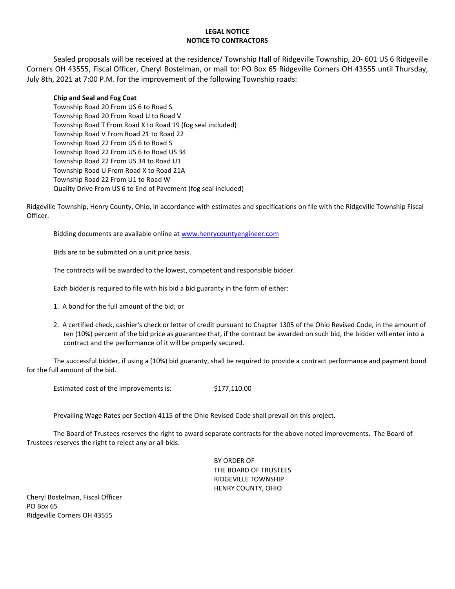### **LEGAL NOTICE NOTICE TO CONTRACTORS**

Sealed proposals will be received at the residence/ Township Hall of Ridgeville Township, 20- 601 US 6 Ridgeville Corners OH 43555, Fiscal Officer, Cheryl Bostelman, or mail to: PO Box 65 Ridgeville Corners OH 43555 until Thursday, July 8th, 2021 at 7:00 P.M. for the improvement of the following Township roads:

### **Chip and Seal and Fog Coat**

Township Road 20 From US 6 to Road S Township Road 20 From Road U to Road V Township Road T From Road X to Road 19 (fog seal included) Township Road V From Road 21 to Road 22 Township Road 22 From US 6 to Road S Township Road 22 From US 6 to Road US 34 Township Road 22 From US 34 to Road U1 Township Road U From Road X to Road 21A Township Road 22 From U1 to Road W Quality Drive From US 6 to End of Pavement (fog seal included)

Ridgeville Township, Henry County, Ohio, in accordance with estimates and specifications on file with the Ridgeville Township Fiscal Officer.

Bidding documents are available online at [www.henrycountyengineer.com](http://www.henrycountyengineer.com/)

Bids are to be submitted on a unit price basis.

The contracts will be awarded to the lowest, competent and responsible bidder.

Each bidder is required to file with his bid a bid guaranty in the form of either:

- 1. A bond for the full amount of the bid; or
- 2. A certified check, cashier's check or letter of credit pursuant to Chapter 1305 of the Ohio Revised Code, in the amount of ten (10%) percent of the bid price as guarantee that, if the contract be awarded on such bid, the bidder will enter into a contract and the performance of it will be properly secured.

The successful bidder, if using a (10%) bid guaranty, shall be required to provide a contract performance and payment bond for the full amount of the bid.

Estimated cost of the improvements is:  $$177,110.00$ 

Prevailing Wage Rates per Section 4115 of the Ohio Revised Code shall prevail on this project.

The Board of Trustees reserves the right to award separate contracts for the above noted improvements. The Board of Trustees reserves the right to reject any or all bids.

> BY ORDER OF THE BOARD OF TRUSTEES RIDGEVILLE TOWNSHIP HENRY COUNTY, OHIO

Cheryl Bostelman, Fiscal Officer PO Box 65 Ridgeville Corners OH 43555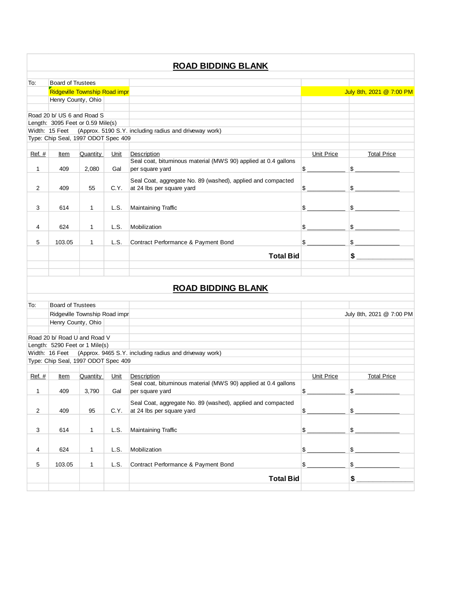# To: Henry County, Ohio Road 20 b/ US 6 and Road S Length: 3095 Feet or 0.59 Mile(s) Width: 15 Feet (Approx. 5190 S.Y. including radius and driveway work) Type: Chip Seal, 1997 ODOT Spec 409 Ref. # Item Quantity Unit Description Contract Contract Contract Price District Total Price Total Price Total 1 409 2,080 Gal Seal coat, bituminous material (MWS 90) applied at 0.4 gallons per square yard  $\frac{1}{2}$ 2 409 55 C.Y. Seal Coat, aggregate No. 89 (washed), applied and compacted at 24 lbs per square yard  $\text{S}$  \_\_\_\_\_\_\_\_\_\_\_\_  $\text{S}$ 3 614 1 L.S. Maintaining Traffic \$ \_\_\_\_\_\_\_\_\_\_\_\_ \$ \_\_\_\_\_\_\_\_\_\_\_\_\_\_ 4 624 1 L.S. Mobilization \$ 5 103.05 1 L.S. Contract Performance & Payment Bond \$ \_\_\_\_\_\_\_\_\_\_ \$ \_\_\_\_\_\_\_\_\_\_\_\_ **Total Bid \$ \_\_\_\_\_\_\_\_\_\_\_\_\_\_** To: Henry County, Ohio Road 20 b/ Road U and Road V Length: 5290 Feet or 1 Mile(s) Width: 16 Feet (Approx. 9465 S.Y. including radius and driveway work) Type: Chip Seal, 1997 ODOT Spec 409 Ref. # Item Quantity Unit Description Contract Contract Contract Price District Total Price Total Price Total 1 409 3,790 Gal Seal coat, bituminous material (MWS 90) applied at 0.4 gallons per square yard  $\sim$ 2 409 95 C.Y. Seal Coat, aggregate No. 89 (washed), applied and compacted at 24 lbs per square yard  $\sim$   $\frac{1}{2}$ 3 614 1 L.S. Maintaining Traffic \$ \_\_\_\_\_\_\_\_\_\_\_\_ \$ \_\_\_\_\_\_\_\_\_\_\_\_\_\_ 4 624 1 L.S. Mobilization **624 1 L.S. Auto**lization **624** 5 5 103.05 1 L.S. Contract Performance & Payment Bond \$ **Total Bid \$ \_\_\_\_\_\_\_\_\_\_\_\_\_\_ ROAD BIDDING BLANK** Board of Trustees Ridgeville Township Road improvement Provement Project- Chip Seal July 8th, 2021 @ 7:00 PM **ROAD BIDDING BLANK** Board of Trustees Ridgeville Township Road improvement Project- Chip Seal July 8th, 2021 @ 7:00 PM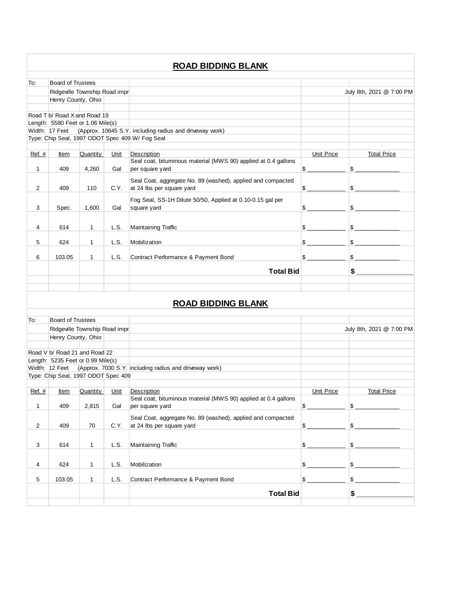|                |                                                                   |              |      | <b>ROAD BIDDING BLANK</b>                                                     |                   |                            |
|----------------|-------------------------------------------------------------------|--------------|------|-------------------------------------------------------------------------------|-------------------|----------------------------|
| To:            | <b>Board of Trustees</b>                                          |              |      |                                                                               |                   |                            |
|                | Ridgeville Township Road impr                                     |              |      |                                                                               |                   | July 8th, 2021 @ 7:00 PM   |
|                | Henry County, Ohio                                                |              |      |                                                                               |                   |                            |
|                |                                                                   |              |      |                                                                               |                   |                            |
|                | Road T b/ Road X and Road 19<br>Length: 5580 Feet or 1.06 Mile(s) |              |      |                                                                               |                   |                            |
|                | Width: 17 Feet                                                    |              |      | (Approx. 10645 S.Y. including radius and driveway work)                       |                   |                            |
|                |                                                                   |              |      | Type: Chip Seal, 1997 ODOT Spec 409 W/ Fog Seal                               |                   |                            |
|                |                                                                   |              |      |                                                                               |                   |                            |
| Ref. #         | Item                                                              | Quantity     | Unit | Description<br>Seal coat, bituminous material (MWS 90) applied at 0.4 gallons | Unit Price        | <b>Total Price</b>         |
| $\mathbf{1}$   | 409                                                               | 4,260        | Gal  | per square yard                                                               | \$                | $\frac{1}{2}$              |
|                |                                                                   |              |      | Seal Coat, aggregate No. 89 (washed), applied and compacted                   |                   |                            |
| 2              | 409                                                               | 110          | C.Y. | at 24 lbs per square yard                                                     | \$                | \$                         |
|                |                                                                   |              |      |                                                                               |                   |                            |
| 3              | Spec.                                                             | 1,600        | Gal  | Fog Seal, SS-1H Dilute 50/50, Applied at 0.10-0.15 gal per<br>square yard     | \$                | $\frac{1}{2}$              |
|                |                                                                   |              |      |                                                                               |                   |                            |
| 4              | 614                                                               | $\mathbf{1}$ | L.S. | Maintaining Traffic                                                           | \$                | $$\overline{\phantom{2}}$$ |
|                |                                                                   |              |      |                                                                               |                   |                            |
| 5              | 624                                                               | $\mathbf{1}$ | L.S. | Mobilization                                                                  | \$                | $\sim$                     |
|                |                                                                   |              |      |                                                                               |                   |                            |
| 6              | 103.05                                                            | 1            | L.S. | Contract Performance & Payment Bond                                           |                   | \$                         |
|                |                                                                   |              |      | <b>Total Bid</b>                                                              |                   | \$                         |
|                |                                                                   |              |      |                                                                               |                   |                            |
|                |                                                                   |              |      | <b>ROAD BIDDING BLANK</b>                                                     |                   |                            |
| To:            | <b>Board of Trustees</b><br>Ridgeville Township Road impr         |              |      |                                                                               |                   |                            |
|                | Henry County, Ohio                                                |              |      |                                                                               |                   | July 8th, 2021 @ 7:00 PM   |
|                |                                                                   |              |      |                                                                               |                   |                            |
|                | Road V b/ Road 21 and Road 22                                     |              |      |                                                                               |                   |                            |
|                | Length: 5235 Feet or 0.99 Mile(s)                                 |              |      |                                                                               |                   |                            |
|                | Width: 12 Feet<br>Type: Chip Seal, 1997 ODOT Spec 409             |              |      | (Approx. 7030 S.Y. including radius and driveway work)                        |                   |                            |
|                |                                                                   |              |      |                                                                               |                   |                            |
| Ref. #         | <u>Item</u>                                                       | Quantity     | Unit | Description                                                                   | <b>Unit Price</b> | <b>Total Price</b>         |
|                |                                                                   |              |      | Seal coat, bituminous material (MWS 90) applied at 0.4 gallons                |                   |                            |
| $\mathbf{1}$   | 409                                                               | 2,815        | Gal  | per square yard                                                               | $\frac{1}{2}$     | $\frac{1}{2}$              |
|                | 409                                                               | 70           | C.Y. | Seal Coat, aggregate No. 89 (washed), applied and compacted                   | $\frac{1}{2}$     | $\frac{1}{2}$              |
| $\overline{c}$ |                                                                   |              |      | at 24 lbs per square yard                                                     |                   |                            |
| 3              | 614                                                               | 1            | L.S. | Maintaining Traffic                                                           |                   | $\frac{1}{2}$              |
| 4              | 624                                                               | 1            | L.S. | Mobilization                                                                  | \$                | \$                         |
|                |                                                                   |              |      |                                                                               |                   |                            |
| 5              | 103.05                                                            | 1            | L.S. | Contract Performance & Payment Bond                                           | $\mathsf{\$}$ .   | $\frac{1}{2}$              |
|                |                                                                   |              |      | <b>Total Bid</b>                                                              |                   |                            |
|                |                                                                   |              |      |                                                                               |                   |                            |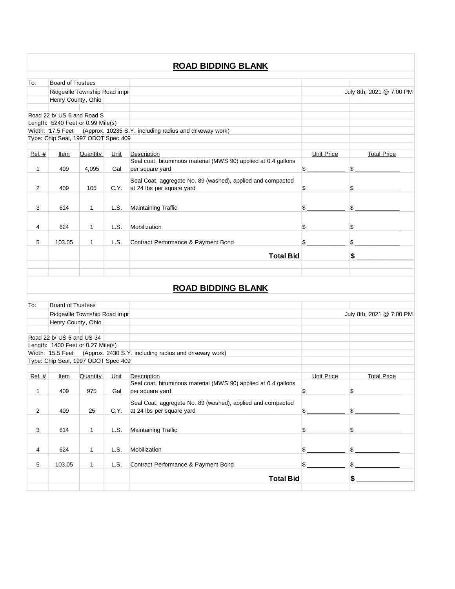# To: Henry County, Ohio Road 22 b/ US 6 and Road S Length: 5240 Feet or 0.99 Mile(s) Width: 17.5 Feet (Approx. 10235 S.Y. including radius and driveway work) Type: Chip Seal, 1997 ODOT Spec 409 Ref. # Item Quantity Unit Description Contract Contract Contract Price District Total Price Total Price Total 1 409 4,095 Gal Seal coat, bituminous material (MWS 90) applied at 0.4 gallons per square yard  $\frac{1}{2}$ 2 409 105 C.Y. Seal Coat, aggregate No. 89 (washed), applied and compacted at 24 lbs per square yard  $\text{S}$  \_\_\_\_\_\_\_\_\_\_\_\_  $\text{S}$ 3 614 1 L.S. Maintaining Traffic \$ \_\_\_\_\_\_\_\_\_\_\_\_ \$ \_\_\_\_\_\_\_\_\_\_\_\_\_\_ 4 624 1 L.S. Mobilization \$ 5 103.05 1 L.S. Contract Performance & Payment Bond \$ \_\_\_\_\_\_\_\_\_\_ \$ \_\_\_\_\_\_\_\_\_\_\_\_ **Total Bid \$ \_\_\_\_\_\_\_\_\_\_\_\_\_\_** To: Henry County, Ohio Road 22 b/ US 6 and US 34 Length: 1400 Feet or 0.27 Mile(s) Width: 15.5 Feet (Approx. 2430 S.Y. including radius and driveway work) Type: Chip Seal, 1997 ODOT Spec 409 Ref. # Item Quantity Unit Description Contact Contact Price Total Price Total Price 1 409 975 Gal Seal coat, bituminous material (MWS 90) applied at 0.4 gallons per square yard  $\sim$ 2 409 25 C.Y. Seal Coat, aggregate No. 89 (washed), applied and compacted at 24 lbs per square yard  $\sim$   $\frac{1}{2}$ 3 614 1 L.S. Maintaining Traffic \$ \_\_\_\_\_\_\_\_\_\_\_\_ \$ \_\_\_\_\_\_\_\_\_\_\_\_\_\_ 4 624 1 L.S. Mobilization **624 1 L.S. Auto**lization **624** 5 5 103.05 1 L.S. Contract Performance & Payment Bond \$ **Total Bid \$ \_\_\_\_\_\_\_\_\_\_\_\_\_\_** Board of Trustees Ridgeville Township Road improvement Provement Project- Chip Seal July 8th, 2021 @ 7:00 PM **ROAD BIDDING BLANK** Board of Trustees Ridgeville Township Road improvement Provement Project- Chip Seal July 8th, 2021 @ 7:00 PM **ROAD BIDDING BLANK**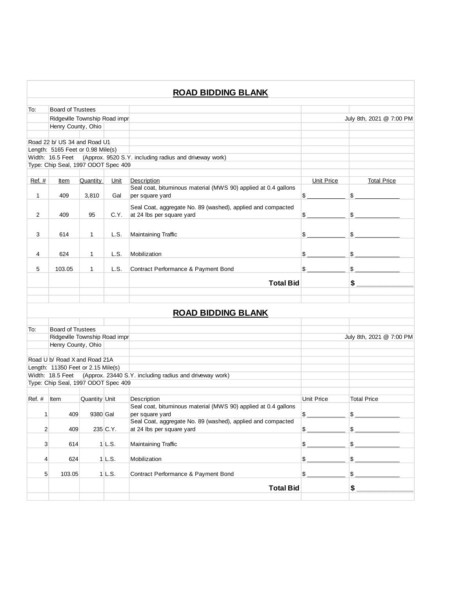|                |                                                           |               |          | <b>ROAD BIDDING BLANK</b>                                                                |                   |                          |
|----------------|-----------------------------------------------------------|---------------|----------|------------------------------------------------------------------------------------------|-------------------|--------------------------|
| To:            | <b>Board of Trustees</b>                                  |               |          |                                                                                          |                   |                          |
|                | Ridgeville Township Road impr                             |               |          |                                                                                          |                   | July 8th, 2021 @ 7:00 PM |
|                | Henry County, Ohio                                        |               |          |                                                                                          |                   |                          |
|                |                                                           |               |          |                                                                                          |                   |                          |
|                | Road 22 b/ US 34 and Road U1                              |               |          |                                                                                          |                   |                          |
|                | Length: 5165 Feet or 0.98 Mile(s)                         |               |          |                                                                                          |                   |                          |
|                |                                                           |               |          | Width: 16.5 Feet (Approx. 9520 S.Y. including radius and driveway work)                  |                   |                          |
|                | Type: Chip Seal, 1997 ODOT Spec 409                       |               |          |                                                                                          |                   |                          |
|                |                                                           |               |          |                                                                                          |                   |                          |
| Ref. $#$       | <u>Item</u>                                               | Quantity      | Unit     | Description                                                                              | <b>Unit Price</b> | <b>Total Price</b>       |
|                |                                                           |               |          | Seal coat, bituminous material (MWS 90) applied at 0.4 gallons                           |                   |                          |
| 1              | 409                                                       | 3,810         | Gal      | per square yard                                                                          | s                 | $\frac{1}{2}$            |
|                |                                                           |               |          | Seal Coat, aggregate No. 89 (washed), applied and compacted                              |                   |                          |
| 2              | 409                                                       | 95            | C.Y.     | at 24 lbs per square yard                                                                | $\frac{1}{2}$     | \$                       |
|                |                                                           |               |          |                                                                                          |                   |                          |
| 3              | 614                                                       | 1             | L.S.     | Maintaining Traffic                                                                      | $\mathbb{S}$      | $\frac{1}{2}$            |
|                |                                                           |               |          |                                                                                          |                   |                          |
|                |                                                           |               |          |                                                                                          |                   |                          |
| 4              | 624                                                       | 1             | L.S.     | Mobilization                                                                             | $\frac{1}{2}$     | $\frac{1}{2}$            |
| 5              | 103.05                                                    | 1             | L.S.     | Contract Performance & Payment Bond                                                      | \$                | $\frac{1}{2}$            |
|                |                                                           |               |          | <b>Total Bid</b>                                                                         |                   | $\frac{1}{2}$            |
|                |                                                           |               |          |                                                                                          |                   |                          |
|                |                                                           |               |          | <b>ROAD BIDDING BLANK</b>                                                                |                   |                          |
|                |                                                           |               |          |                                                                                          |                   |                          |
| To:            | <b>Board of Trustees</b><br>Ridgeville Township Road impr |               |          |                                                                                          |                   | July 8th, 2021 @ 7:00 PM |
|                | Henry County, Ohio                                        |               |          |                                                                                          |                   |                          |
|                |                                                           |               |          |                                                                                          |                   |                          |
|                | Road U b/ Road X and Road 21A                             |               |          |                                                                                          |                   |                          |
|                | Length: 11350 Feet or 2.15 Mile(s)                        |               |          |                                                                                          |                   |                          |
|                | Width: 18.5 Feet                                          |               |          | (Approx. 23440 S.Y. including radius and driveway work)                                  |                   |                          |
|                | Type: Chip Seal, 1997 ODOT Spec 409                       |               |          |                                                                                          |                   |                          |
|                |                                                           |               |          |                                                                                          |                   |                          |
| $Ref.$ #       | Item                                                      | Quantity Unit |          | Description                                                                              | Unit Price        | <b>Total Price</b>       |
|                |                                                           |               |          | Seal coat, bituminous material (MWS 90) applied at 0.4 gallons                           |                   |                          |
| $\mathbf{1}$   | 409                                                       | 9380 Gal      |          | per square yard                                                                          | $\frac{1}{2}$     | \$                       |
|                | 409                                                       |               |          | Seal Coat, aggregate No. 89 (washed), applied and compacted<br>at 24 lbs per square yard |                   | $\frac{1}{2}$            |
| $\overline{2}$ |                                                           |               | 235 C.Y. |                                                                                          | $\frac{1}{2}$     |                          |
| 3              | 614                                                       |               | $1$ L.S. | Maintaining Traffic                                                                      | $\frac{1}{2}$     | $\sim$                   |
| 4              | 624                                                       |               | $1$ L.S. | Mobilization                                                                             | $\frac{1}{2}$     | \$                       |
|                |                                                           |               |          |                                                                                          |                   |                          |
| 5              | 103.05                                                    |               | $1$ L.S. | Contract Performance & Payment Bond                                                      | $\frac{1}{2}$     | $\frac{1}{2}$            |
|                |                                                           |               |          | <b>Total Bid</b>                                                                         |                   | $$ -$                    |
|                |                                                           |               |          |                                                                                          |                   |                          |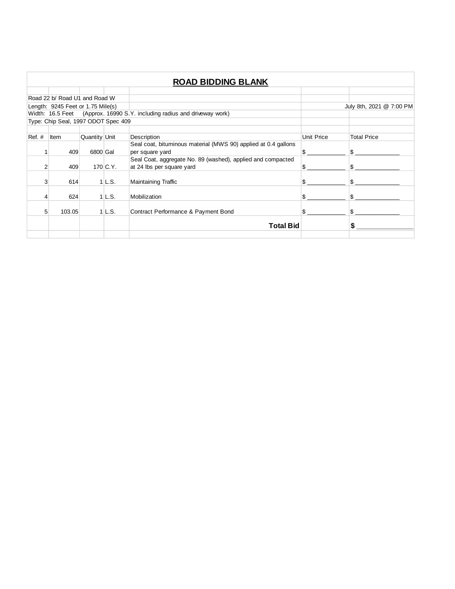|                |                                     |               |            | <b>ROAD BIDDING BLANK</b>                                                |                   |                          |
|----------------|-------------------------------------|---------------|------------|--------------------------------------------------------------------------|-------------------|--------------------------|
|                |                                     |               |            |                                                                          |                   |                          |
|                | Road 22 b/ Road U1 and Road W       |               |            |                                                                          |                   |                          |
|                | Length: 9245 Feet or 1.75 Mile(s)   |               |            |                                                                          |                   | July 8th, 2021 @ 7:00 PM |
|                |                                     |               |            | Width: 16.5 Feet (Approx. 16990 S.Y. including radius and driveway work) |                   |                          |
|                | Type: Chip Seal, 1997 ODOT Spec 409 |               |            |                                                                          |                   |                          |
|                |                                     |               |            |                                                                          |                   |                          |
| $Ref. \#$      | Item                                | Quantity Unit |            | Description                                                              | <b>Unit Price</b> | <b>Total Price</b>       |
|                |                                     |               |            | Seal coat, bituminous material (MWS 90) applied at 0.4 gallons           |                   |                          |
|                | 409                                 | 6800 Gal      |            | per square yard                                                          | \$.               |                          |
|                |                                     |               |            | Seal Coat, aggregate No. 89 (washed), applied and compacted              |                   |                          |
| $\overline{2}$ | 409                                 |               | $170$ C.Y. | at 24 lbs per square yard                                                |                   |                          |
| 3              | 614                                 |               | $1$ L.S.   | <b>Maintaining Traffic</b>                                               |                   |                          |
|                |                                     |               |            |                                                                          |                   |                          |
| 4              | 624                                 |               | 1 L.S.     | Mobilization                                                             | ß.                | \$.                      |
|                |                                     |               |            |                                                                          |                   |                          |
| 5              | 103.05                              |               | $1$ L.S.   | Contract Performance & Payment Bond                                      |                   |                          |
|                |                                     |               |            | <b>Total Bid</b>                                                         |                   |                          |
|                |                                     |               |            |                                                                          |                   |                          |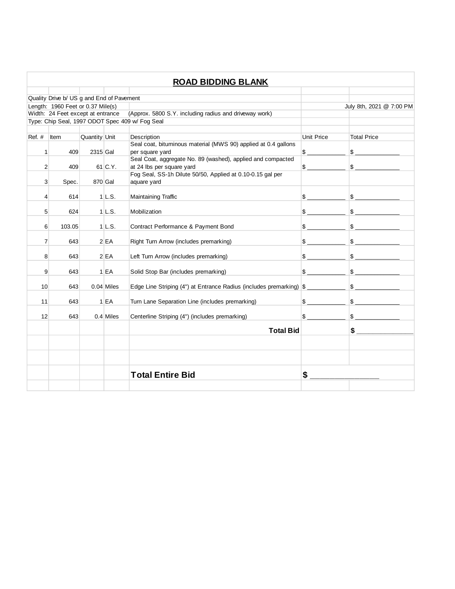|                |                                           |               |              | <b>ROAD BIDDING BLANK</b>                                            |               |                                                                                                                                                                                                                                                                                                                                                                     |
|----------------|-------------------------------------------|---------------|--------------|----------------------------------------------------------------------|---------------|---------------------------------------------------------------------------------------------------------------------------------------------------------------------------------------------------------------------------------------------------------------------------------------------------------------------------------------------------------------------|
|                |                                           |               |              |                                                                      |               |                                                                                                                                                                                                                                                                                                                                                                     |
|                | Quality Drive b/ US g and End of Pavement |               |              |                                                                      |               |                                                                                                                                                                                                                                                                                                                                                                     |
|                | Length: 1960 Feet or 0.37 Mile(s)         |               |              |                                                                      |               | July 8th, 2021 @ 7:00 PM                                                                                                                                                                                                                                                                                                                                            |
|                | Width: 24 Feet except at entrance         |               |              | (Approx. 5800 S.Y. including radius and driveway work)               |               |                                                                                                                                                                                                                                                                                                                                                                     |
|                |                                           |               |              | Type: Chip Seal, 1997 ODOT Spec 409 w/ Fog Seal                      |               |                                                                                                                                                                                                                                                                                                                                                                     |
|                |                                           |               |              |                                                                      |               |                                                                                                                                                                                                                                                                                                                                                                     |
| $Ref. \#$      | Item                                      | Quantity Unit |              | Description                                                          | Unit Price    | <b>Total Price</b>                                                                                                                                                                                                                                                                                                                                                  |
|                |                                           |               |              | Seal coat, bituminous material (MWS 90) applied at 0.4 gallons       |               |                                                                                                                                                                                                                                                                                                                                                                     |
| 1              | 409                                       | 2315 Gal      |              | per square yard                                                      | $\frac{1}{2}$ |                                                                                                                                                                                                                                                                                                                                                                     |
|                |                                           |               |              | Seal Coat, aggregate No. 89 (washed), applied and compacted          |               |                                                                                                                                                                                                                                                                                                                                                                     |
| $\overline{2}$ | 409                                       |               | 61 C.Y.      | at 24 lbs per square yard                                            | $\mathbb{S}$  | $\mathbb{S}$                                                                                                                                                                                                                                                                                                                                                        |
|                |                                           |               |              | Fog Seal, SS-1h Dilute 50/50, Applied at 0.10-0.15 gal per           |               |                                                                                                                                                                                                                                                                                                                                                                     |
| 3              | Spec.                                     |               | 870 Gal      | aquare yard                                                          |               |                                                                                                                                                                                                                                                                                                                                                                     |
|                |                                           |               |              |                                                                      |               |                                                                                                                                                                                                                                                                                                                                                                     |
| 4              | 614                                       |               | 1 L.S.       | Maintaining Traffic                                                  | $\frac{1}{2}$ | $\frac{1}{2}$                                                                                                                                                                                                                                                                                                                                                       |
|                |                                           |               |              |                                                                      |               |                                                                                                                                                                                                                                                                                                                                                                     |
| 5              | 624                                       |               | $1$ L.S.     | Mobilization                                                         | $\frac{1}{2}$ | $\frac{1}{2}$                                                                                                                                                                                                                                                                                                                                                       |
|                |                                           |               |              |                                                                      |               |                                                                                                                                                                                                                                                                                                                                                                     |
| 6              | 103.05                                    |               | 1 L.S.       | Contract Performance & Payment Bond                                  | $\frac{1}{2}$ | $\sim$                                                                                                                                                                                                                                                                                                                                                              |
|                |                                           |               |              |                                                                      |               |                                                                                                                                                                                                                                                                                                                                                                     |
| $\overline{7}$ | 643                                       |               | 2EA          | Right Turn Arrow (includes premarking)                               | $\frac{1}{2}$ | $\frac{1}{2}$                                                                                                                                                                                                                                                                                                                                                       |
|                |                                           |               |              |                                                                      |               |                                                                                                                                                                                                                                                                                                                                                                     |
| 8              | 643                                       |               | 2 EA         | Left Turn Arrow (includes premarking)                                | $\frac{1}{2}$ | $\sim$                                                                                                                                                                                                                                                                                                                                                              |
|                |                                           |               |              |                                                                      |               |                                                                                                                                                                                                                                                                                                                                                                     |
| 9              | 643                                       |               | $1$ EA       | Solid Stop Bar (includes premarking)                                 | $\frac{1}{2}$ | $\sim$                                                                                                                                                                                                                                                                                                                                                              |
|                |                                           |               |              |                                                                      |               |                                                                                                                                                                                                                                                                                                                                                                     |
| 10             | 643                                       |               | $0.04$ Miles |                                                                      |               | $\sim$                                                                                                                                                                                                                                                                                                                                                              |
|                |                                           |               |              | Edge Line Striping (4") at Entrance Radius (includes premarking)  \$ |               |                                                                                                                                                                                                                                                                                                                                                                     |
|                |                                           |               |              |                                                                      | $\frac{1}{2}$ | $\frac{1}{2}$                                                                                                                                                                                                                                                                                                                                                       |
| 11             | 643                                       |               | $1$ EA       | Turn Lane Separation Line (includes premarking)                      |               |                                                                                                                                                                                                                                                                                                                                                                     |
|                |                                           |               |              |                                                                      |               |                                                                                                                                                                                                                                                                                                                                                                     |
| 12             | 643                                       |               | $0.4$ Miles  | Centerline Striping (4") (includes premarking)                       | $\frac{1}{2}$ | $\begin{picture}(20,20) \put(0,0){\vector(1,0){100}} \put(15,0){\vector(1,0){100}} \put(15,0){\vector(1,0){100}} \put(15,0){\vector(1,0){100}} \put(15,0){\vector(1,0){100}} \put(15,0){\vector(1,0){100}} \put(15,0){\vector(1,0){100}} \put(15,0){\vector(1,0){100}} \put(15,0){\vector(1,0){100}} \put(15,0){\vector(1,0){100}} \put(15,0){\vector(1,0){100}} \$ |
|                |                                           |               |              | <b>Total Bid</b>                                                     |               |                                                                                                                                                                                                                                                                                                                                                                     |
|                |                                           |               |              |                                                                      |               |                                                                                                                                                                                                                                                                                                                                                                     |
|                |                                           |               |              |                                                                      |               |                                                                                                                                                                                                                                                                                                                                                                     |
|                |                                           |               |              |                                                                      |               |                                                                                                                                                                                                                                                                                                                                                                     |
|                |                                           |               |              |                                                                      |               |                                                                                                                                                                                                                                                                                                                                                                     |
|                |                                           |               |              | <b>Total Entire Bid</b>                                              | \$            |                                                                                                                                                                                                                                                                                                                                                                     |
|                |                                           |               |              |                                                                      |               |                                                                                                                                                                                                                                                                                                                                                                     |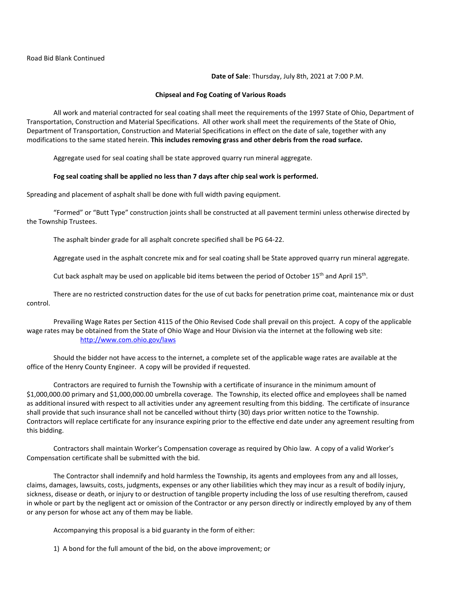**Date of Sale**: Thursday, July 8th, 2021 at 7:00 P.M.

#### **Chipseal and Fog Coating of Various Roads**

All work and material contracted for seal coating shall meet the requirements of the 1997 State of Ohio, Department of Transportation, Construction and Material Specifications. All other work shall meet the requirements of the State of Ohio, Department of Transportation, Construction and Material Specifications in effect on the date of sale, together with any modifications to the same stated herein. **This includes removing grass and other debris from the road surface.**

Aggregate used for seal coating shall be state approved quarry run mineral aggregate.

#### **Fog seal coating shall be applied no less than 7 days after chip seal work is performed.**

Spreading and placement of asphalt shall be done with full width paving equipment.

"Formed" or "Butt Type" construction joints shall be constructed at all pavement termini unless otherwise directed by the Township Trustees.

The asphalt binder grade for all asphalt concrete specified shall be PG 64-22.

Aggregate used in the asphalt concrete mix and for seal coating shall be State approved quarry run mineral aggregate.

Cut back asphalt may be used on applicable bid items between the period of October 15<sup>th</sup> and April 15<sup>th</sup>.

There are no restricted construction dates for the use of cut backs for penetration prime coat, maintenance mix or dust control.

Prevailing Wage Rates per Section 4115 of the Ohio Revised Code shall prevail on this project. A copy of the applicable wage rates may be obtained from the State of Ohio Wage and Hour Division via the internet at the following web site: <http://www.com.ohio.gov/laws>

Should the bidder not have access to the internet, a complete set of the applicable wage rates are available at the office of the Henry County Engineer. A copy will be provided if requested.

Contractors are required to furnish the Township with a certificate of insurance in the minimum amount of \$1,000,000.00 primary and \$1,000,000.00 umbrella coverage. The Township, its elected office and employees shall be named as additional insured with respect to all activities under any agreement resulting from this bidding. The certificate of insurance shall provide that such insurance shall not be cancelled without thirty (30) days prior written notice to the Township. Contractors will replace certificate for any insurance expiring prior to the effective end date under any agreement resulting from this bidding.

Contractors shall maintain Worker's Compensation coverage as required by Ohio law. A copy of a valid Worker's Compensation certificate shall be submitted with the bid.

The Contractor shall indemnify and hold harmless the Township, its agents and employees from any and all losses, claims, damages, lawsuits, costs, judgments, expenses or any other liabilities which they may incur as a result of bodily injury, sickness, disease or death, or injury to or destruction of tangible property including the loss of use resulting therefrom, caused in whole or part by the negligent act or omission of the Contractor or any person directly or indirectly employed by any of them or any person for whose act any of them may be liable.

Accompanying this proposal is a bid guaranty in the form of either:

1) A bond for the full amount of the bid, on the above improvement; or